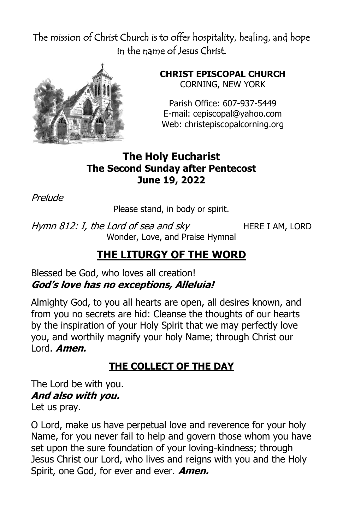The mission of Christ Church is to offer hospitality, healing, and hope in the name of Jesus Christ.



**CHRIST EPISCOPAL CHURCH**

CORNING, NEW YORK

Parish Office: 607-937-5449 E-mail: cepiscopal@yahoo.com Web: christepiscopalcorning.org

## **The Holy Eucharist The Second Sunday after Pentecost June 19, 2022**

Prelude

Please stand, in body or spirit.

Hymn 812: I, the Lord of sea and sky HERE I AM, LORD Wonder, Love, and Praise Hymnal

# **THE LITURGY OF THE WORD**

Blessed be God, who loves all creation! **God's love has no exceptions, Alleluia!**

Almighty God, to you all hearts are open, all desires known, and from you no secrets are hid: Cleanse the thoughts of our hearts by the inspiration of your Holy Spirit that we may perfectly love you, and worthily magnify your holy Name; through Christ our Lord. **Amen.**

# **THE COLLECT OF THE DAY**

The Lord be with you. **And also with you.**

Let us pray.

O Lord, make us have perpetual love and reverence for your holy Name, for you never fail to help and govern those whom you have set upon the sure foundation of your loving-kindness; through Jesus Christ our Lord, who lives and reigns with you and the Holy Spirit, one God, for ever and ever. **Amen.**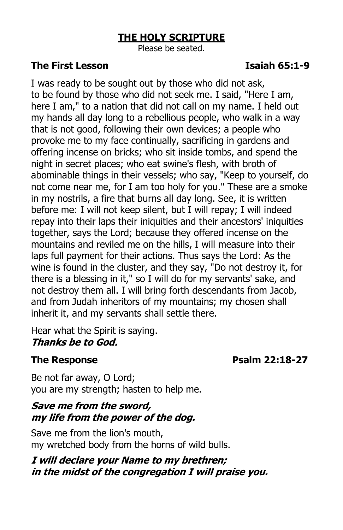## **THE HOLY SCRIPTURE**

Please be seated.

#### **The First Lesson Isaiah 65:1-9**

I was ready to be sought out by those who did not ask, to be found by those who did not seek me. I said, "Here I am, here I am," to a nation that did not call on my name. I held out my hands all day long to a rebellious people, who walk in a way that is not good, following their own devices; a people who provoke me to my face continually, sacrificing in gardens and offering incense on bricks; who sit inside tombs, and spend the night in secret places; who eat swine's flesh, with broth of abominable things in their vessels; who say, "Keep to yourself, do not come near me, for I am too holy for you." These are a smoke in my nostrils, a fire that burns all day long. See, it is written before me: I will not keep silent, but I will repay; I will indeed repay into their laps their iniquities and their ancestors' iniquities together, says the Lord; because they offered incense on the mountains and reviled me on the hills, I will measure into their laps full payment for their actions. Thus says the Lord: As the wine is found in the cluster, and they say, "Do not destroy it, for there is a blessing in it," so I will do for my servants' sake, and not destroy them all. I will bring forth descendants from Jacob, and from Judah inheritors of my mountains; my chosen shall inherit it, and my servants shall settle there.

Hear what the Spirit is saying. **Thanks be to God.**

**The Response Psalm 22:18-27** 

Be not far away, O Lord; you are my strength; hasten to help me.

### **Save me from the sword, my life from the power of the dog.**

Save me from the lion's mouth, my wretched body from the horns of wild bulls.

## **I will declare your Name to my brethren; in the midst of the congregation I will praise you.**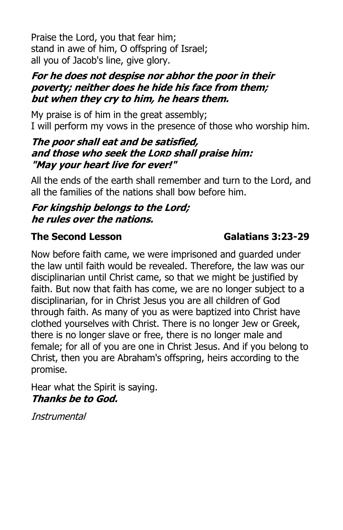Praise the Lord, you that fear him; stand in awe of him, O offspring of Israel; all you of Jacob's line, give glory.

## **For he does not despise nor abhor the poor in their poverty; neither does he hide his face from them; but when they cry to him, he hears them.**

My praise is of him in the great assembly; I will perform my vows in the presence of those who worship him.

#### **The poor shall eat and be satisfied, and those who seek the LORD shall praise him: "May your heart live for ever!"**

All the ends of the earth shall remember and turn to the Lord, and all the families of the nations shall bow before him.

## **For kingship belongs to the Lord; he rules over the nations.**

## **The Second Lesson Galatians 3:23-29**

Now before faith came, we were imprisoned and guarded under the law until faith would be revealed. Therefore, the law was our disciplinarian until Christ came, so that we might be justified by faith. But now that faith has come, we are no longer subject to a disciplinarian, for in Christ Jesus you are all children of God through faith. As many of you as were baptized into Christ have clothed yourselves with Christ. There is no longer Jew or Greek, there is no longer slave or free, there is no longer male and female; for all of you are one in Christ Jesus. And if you belong to Christ, then you are Abraham's offspring, heirs according to the promise.

Hear what the Spirit is saying. **Thanks be to God.**

Instrumental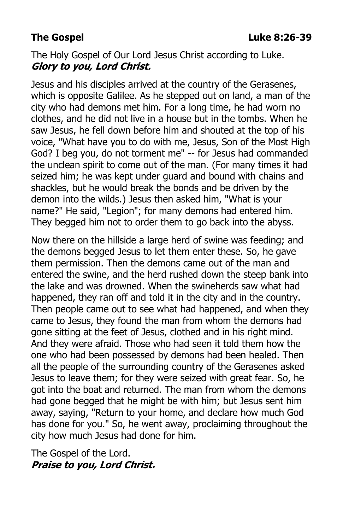### The Holy Gospel of Our Lord Jesus Christ according to Luke. **Glory to you, Lord Christ.**

Jesus and his disciples arrived at the country of the Gerasenes, which is opposite Galilee. As he stepped out on land, a man of the city who had demons met him. For a long time, he had worn no clothes, and he did not live in a house but in the tombs. When he saw Jesus, he fell down before him and shouted at the top of his voice, "What have you to do with me, Jesus, Son of the Most High God? I beg you, do not torment me" -- for Jesus had commanded the unclean spirit to come out of the man. (For many times it had seized him; he was kept under guard and bound with chains and shackles, but he would break the bonds and be driven by the demon into the wilds.) Jesus then asked him, "What is your name?" He said, "Legion"; for many demons had entered him. They begged him not to order them to go back into the abyss.

Now there on the hillside a large herd of swine was feeding; and the demons begged Jesus to let them enter these. So, he gave them permission. Then the demons came out of the man and entered the swine, and the herd rushed down the steep bank into the lake and was drowned. When the swineherds saw what had happened, they ran off and told it in the city and in the country. Then people came out to see what had happened, and when they came to Jesus, they found the man from whom the demons had gone sitting at the feet of Jesus, clothed and in his right mind. And they were afraid. Those who had seen it told them how the one who had been possessed by demons had been healed. Then all the people of the surrounding country of the Gerasenes asked Jesus to leave them; for they were seized with great fear. So, he got into the boat and returned. The man from whom the demons had gone begged that he might be with him; but Jesus sent him away, saying, "Return to your home, and declare how much God has done for you." So, he went away, proclaiming throughout the city how much Jesus had done for him.

The Gospel of the Lord. **Praise to you, Lord Christ.**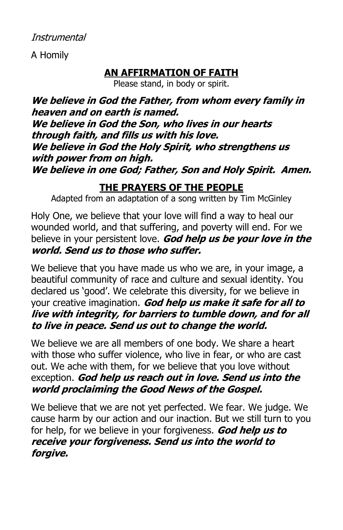Instrumental

A Homily

## **AN AFFIRMATION OF FAITH**

Please stand, in body or spirit.

**We believe in God the Father, from whom every family in heaven and on earth is named. We believe in God the Son, who lives in our hearts through faith, and fills us with his love. We believe in God the Holy Spirit, who strengthens us with power from on high. We believe in one God; Father, Son and Holy Spirit. Amen.**

## **THE PRAYERS OF THE PEOPLE**

Adapted from an adaptation of a song written by Tim McGinley

Holy One, we believe that your love will find a way to heal our wounded world, and that suffering, and poverty will end. For we believe in your persistent love. **God help us be your love in the world. Send us to those who suffer.**

We believe that you have made us who we are, in your image, a beautiful community of race and culture and sexual identity. You declared us 'good'. We celebrate this diversity, for we believe in your creative imagination. **God help us make it safe for all to live with integrity, for barriers to tumble down, and for all to live in peace. Send us out to change the world.**

We believe we are all members of one body. We share a heart with those who suffer violence, who live in fear, or who are cast out. We ache with them, for we believe that you love without exception. **God help us reach out in love. Send us into the world proclaiming the Good News of the Gospel.**

We believe that we are not yet perfected. We fear. We judge. We cause harm by our action and our inaction. But we still turn to you for help, for we believe in your forgiveness. **God help us to receive your forgiveness. Send us into the world to forgive.**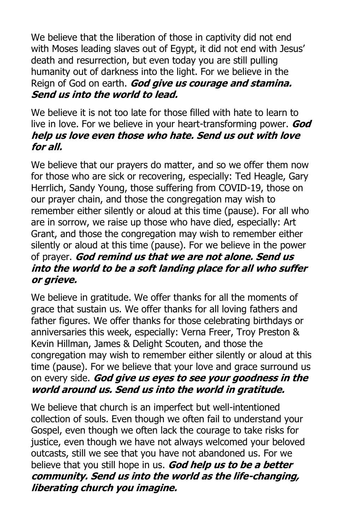We believe that the liberation of those in captivity did not end with Moses leading slaves out of Egypt, it did not end with Jesus' death and resurrection, but even today you are still pulling humanity out of darkness into the light. For we believe in the Reign of God on earth. **God give us courage and stamina. Send us into the world to lead.**

#### We believe it is not too late for those filled with hate to learn to live in love. For we believe in your heart-transforming power. **God help us love even those who hate. Send us out with love for all.**

We believe that our prayers do matter, and so we offer them now for those who are sick or recovering, especially: Ted Heagle, Gary Herrlich, Sandy Young, those suffering from COVID-19, those on our prayer chain, and those the congregation may wish to remember either silently or aloud at this time (pause). For all who are in sorrow, we raise up those who have died, especially: Art Grant, and those the congregation may wish to remember either silently or aloud at this time (pause). For we believe in the power of prayer. **God remind us that we are not alone. Send us into the world to be a soft landing place for all who suffer or grieve.** 

We believe in gratitude. We offer thanks for all the moments of grace that sustain us. We offer thanks for all loving fathers and father figures. We offer thanks for those celebrating birthdays or anniversaries this week, especially: Verna Freer, Troy Preston & Kevin Hillman, James & Delight Scouten, and those the congregation may wish to remember either silently or aloud at this time (pause). For we believe that your love and grace surround us on every side. **God give us eyes to see your goodness in the world around us. Send us into the world in gratitude.**

We believe that church is an imperfect but well-intentioned collection of souls. Even though we often fail to understand your Gospel, even though we often lack the courage to take risks for justice, even though we have not always welcomed your beloved outcasts, still we see that you have not abandoned us. For we believe that you still hope in us. **God help us to be a better community. Send us into the world as the life-changing, liberating church you imagine.**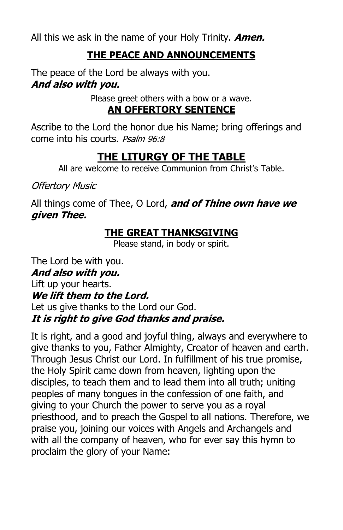All this we ask in the name of your Holy Trinity. **Amen.**

## **THE PEACE AND ANNOUNCEMENTS**

The peace of the Lord be always with you. **And also with you.**

Please greet others with a bow or a wave.

#### **AN OFFERTORY SENTENCE**

Ascribe to the Lord the honor due his Name; bring offerings and come into his courts. *Psalm 96:8* 

## **THE LITURGY OF THE TABLE**

All are welcome to receive Communion from Christ's Table.

**Offertory Music** 

All things come of Thee, O Lord, **and of Thine own have we given Thee.**

## **THE GREAT THANKSGIVING**

Please stand, in body or spirit.

The Lord be with you. **And also with you.** Lift up your hearts. **We lift them to the Lord.** Let us give thanks to the Lord our God. **It is right to give God thanks and praise.**

It is right, and a good and joyful thing, always and everywhere to give thanks to you, Father Almighty, Creator of heaven and earth. Through Jesus Christ our Lord. In fulfillment of his true promise, the Holy Spirit came down from heaven, lighting upon the disciples, to teach them and to lead them into all truth; uniting peoples of many tongues in the confession of one faith, and giving to your Church the power to serve you as a royal priesthood, and to preach the Gospel to all nations. Therefore, we praise you, joining our voices with Angels and Archangels and with all the company of heaven, who for ever say this hymn to proclaim the glory of your Name: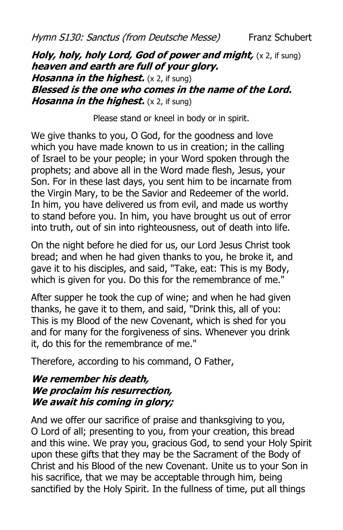Hymn S130: Sanctus (from Deutsche Messe) Franz Schubert

**Holy, holy, holy Lord, God of power and might, (x 2, if sung) heaven and earth are full of your glory. Hosanna in the highest.** (x 2, if sung) **Blessed is the one who comes in the name of the Lord. Hosanna in the highest.** (x 2, if sung)

Please stand or kneel in body or in spirit.

We give thanks to you, O God, for the goodness and love which you have made known to us in creation; in the calling of Israel to be your people; in your Word spoken through the prophets; and above all in the Word made flesh, Jesus, your Son. For in these last days, you sent him to be incarnate from the Virgin Mary, to be the Savior and Redeemer of the world. In him, you have delivered us from evil, and made us worthy to stand before you. In him, you have brought us out of error into truth, out of sin into righteousness, out of death into life.

On the night before he died for us, our Lord Jesus Christ took bread; and when he had given thanks to you, he broke it, and gave it to his disciples, and said, "Take, eat: This is my Body, which is given for you. Do this for the remembrance of me."

After supper he took the cup of wine; and when he had given thanks, he gave it to them, and said, "Drink this, all of you: This is my Blood of the new Covenant, which is shed for you and for many for the forgiveness of sins. Whenever you drink it, do this for the remembrance of me."

Therefore, according to his command, O Father,

#### **We remember his death, We proclaim his resurrection, We await his coming in glory;**

And we offer our sacrifice of praise and thanksgiving to you, O Lord of all; presenting to you, from your creation, this bread and this wine. We pray you, gracious God, to send your Holy Spirit upon these gifts that they may be the Sacrament of the Body of Christ and his Blood of the new Covenant. Unite us to your Son in his sacrifice, that we may be acceptable through him, being sanctified by the Holy Spirit. In the fullness of time, put all things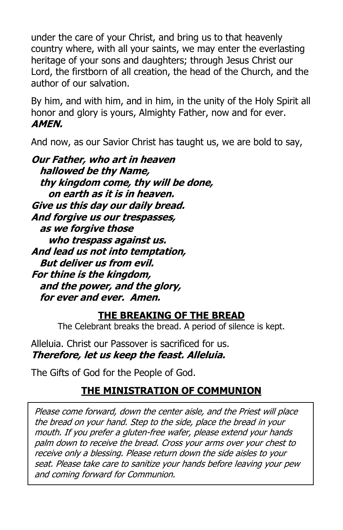under the care of your Christ, and bring us to that heavenly country where, with all your saints, we may enter the everlasting heritage of your sons and daughters; through Jesus Christ our Lord, the firstborn of all creation, the head of the Church, and the author of our salvation.

By him, and with him, and in him, in the unity of the Holy Spirit all honor and glory is yours, Almighty Father, now and for ever. **AMEN.**

And now, as our Savior Christ has taught us, we are bold to say,

**Our Father, who art in heaven hallowed be thy Name, thy kingdom come, thy will be done, on earth as it is in heaven. Give us this day our daily bread. And forgive us our trespasses, as we forgive those who trespass against us. And lead us not into temptation, But deliver us from evil. For thine is the kingdom, and the power, and the glory, for ever and ever. Amen.**

### **THE BREAKING OF THE BREAD**

The Celebrant breaks the bread. A period of silence is kept.

Alleluia. Christ our Passover is sacrificed for us. **Therefore, let us keep the feast. Alleluia.**

The Gifts of God for the People of God.

## **THE MINISTRATION OF COMMUNION**

Please come forward, down the center aisle, and the Priest will place the bread on your hand. Step to the side, place the bread in your mouth. If you prefer a gluten-free wafer, please extend your hands palm down to receive the bread. Cross your arms over your chest to receive only a blessing. Please return down the side aisles to your seat. Please take care to sanitize your hands before leaving your pew and coming forward for Communion.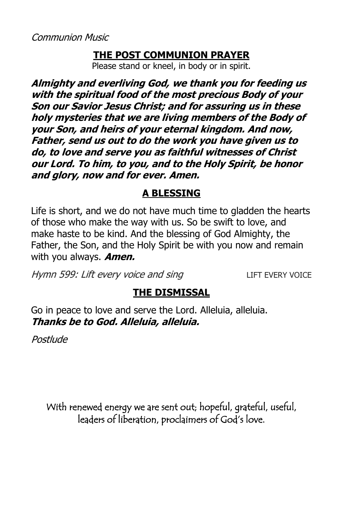Communion Music

## **THE POST COMMUNION PRAYER**

Please stand or kneel, in body or in spirit.

**Almighty and everliving God, we thank you for feeding us with the spiritual food of the most precious Body of your Son our Savior Jesus Christ; and for assuring us in these holy mysteries that we are living members of the Body of your Son, and heirs of your eternal kingdom. And now, Father, send us out to do the work you have given us to do, to love and serve you as faithful witnesses of Christ our Lord. To him, to you, and to the Holy Spirit, be honor and glory, now and for ever. Amen.**

#### **A BLESSING**

Life is short, and we do not have much time to gladden the hearts of those who make the way with us. So be swift to love, and make haste to be kind. And the blessing of God Almighty, the Father, the Son, and the Holy Spirit be with you now and remain with you always. **Amen.**

Hymn 599: Lift every voice and sing The State LIFT EVERY VOICE

### **THE DISMISSAL**

Go in peace to love and serve the Lord. Alleluia, alleluia. **Thanks be to God. Alleluia, alleluia.**

Postlude

With renewed energy we are sent out; hopeful, grateful, useful, leaders of liberation, proclaimers of God's love.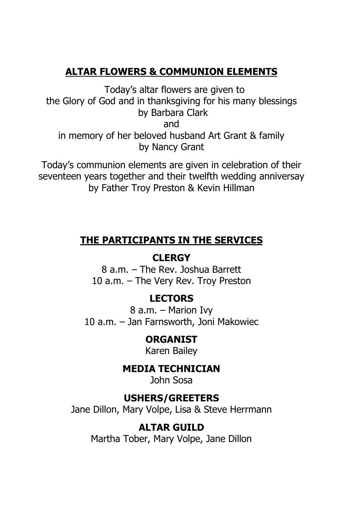## **ALTAR FLOWERS & COMMUNION ELEMENTS**

 Today's altar flowers are given to the Glory of God and in thanksgiving for his many blessings by Barbara Clark and in memory of her beloved husband Art Grant & family by Nancy Grant

Today's communion elements are given in celebration of their seventeen years together and their twelfth wedding anniversay by Father Troy Preston & Kevin Hillman

## **THE PARTICIPANTS IN THE SERVICES**

### **CLERGY**

8 a.m. – The Rev. Joshua Barrett 10 a.m. – The Very Rev. Troy Preston

## **LECTORS**

8 a.m. – Marion Ivy 10 a.m. – Jan Farnsworth, Joni Makowiec

## **ORGANIST**

Karen Bailey

**MEDIA TECHNICIAN**

John Sosa

### **USHERS/GREETERS**

Jane Dillon, Mary Volpe, Lisa & Steve Herrmann

## **ALTAR GUILD**

Martha Tober, Mary Volpe, Jane Dillon